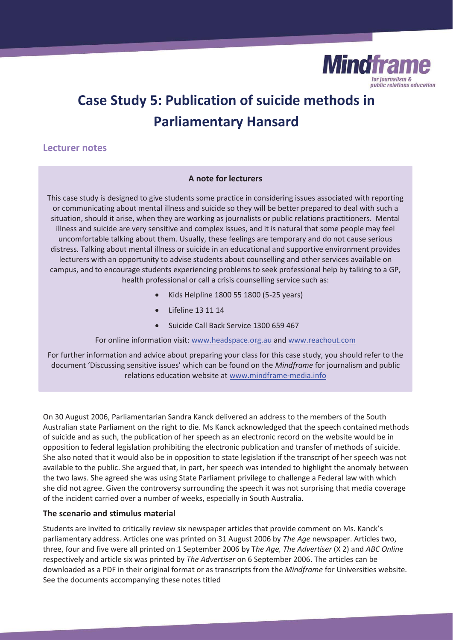

# **Case Study 5: Publication of suicide methods in Parliamentary Hansard**

# **Lecturer notes**

### **A note for lecturers**

This case study is designed to give students some practice in considering issues associated with reporting or communicating about mental illness and suicide so they will be better prepared to deal with such a situation, should it arise, when they are working as journalists or public relations practitioners. Mental illness and suicide are very sensitive and complex issues, and it is natural that some people may feel uncomfortable talking about them. Usually, these feelings are temporary and do not cause serious distress. Talking about mental illness or suicide in an educational and supportive environment provides lecturers with an opportunity to advise students about counselling and other services available on campus, and to encourage students experiencing problems to seek professional help by talking to a GP, health professional or call a crisis counselling service such as:

- x Kids Helpline 1800 55 1800 (5-25 years)
- Lifeline 13 11 14
- Suicide Call Back Service 1300 659 467

For online information visit: www.headspace.org.au and www.reachout.com

For further information and advice about preparing your class for this case study, you should refer to the document 'Discussing sensitive issues' which can be found on the *Mindframe* for journalism and public relations education website at www.mindframe-media.info

On 30 August 2006, Parliamentarian Sandra Kanck delivered an address to the members of the South Australian state Parliament on the right to die. Ms Kanck acknowledged that the speech contained methods of suicide and as such, the publication of her speech as an electronic record on the website would be in opposition to federal legislation prohibiting the electronic publication and transfer of methods of suicide. She also noted that it would also be in opposition to state legislation if the transcript of her speech was not available to the public. She argued that, in part, her speech was intended to highlight the anomaly between the two laws. She agreed she was using State Parliament privilege to challenge a Federal law with which she did not agree. Given the controversy surrounding the speech it was not surprising that media coverage of the incident carried over a number of weeks, especially in South Australia.

## **The scenario and stimulus material**

Students are invited to critically review six newspaper articles that provide comment on Ms. Kanck's parliamentary address. Articles one was printed on 31 August 2006 by *The Age* newspaper. Articles two, three, four and five were all printed on 1 September 2006 by T*he Age, The Advertiser* (X 2) and *ABC Online*  respectively and article six was printed by *The Advertiser* on 6 September 2006. The articles can be downloaded as a PDF in their original format or as transcripts from the *Mindframe* for Universities website. See the documents accompanying these notes titled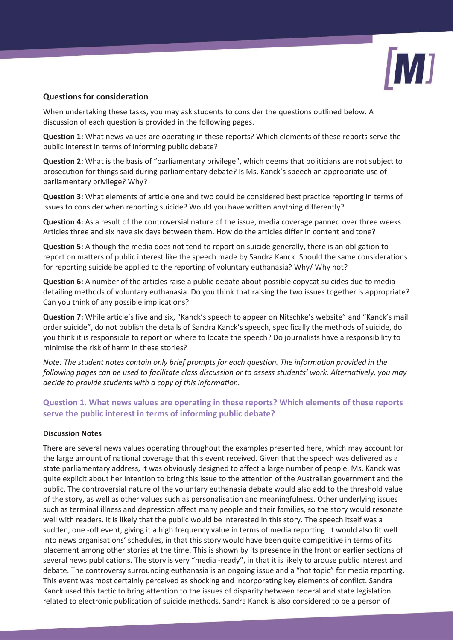

#### **Questions for consideration**

When undertaking these tasks, you may ask students to consider the questions outlined below. A discussion of each question is provided in the following pages.

**Question 1:** What news values are operating in these reports? Which elements of these reports serve the public interest in terms of informing public debate?

**Question 2:** What is the basis of "parliamentary privilege", which deems that politicians are not subject to prosecution for things said during parliamentary debate? Is Ms. Kanck's speech an appropriate use of parliamentary privilege? Why?

**Question 3:** What elements of article one and two could be considered best practice reporting in terms of issues to consider when reporting suicide? Would you have written anything differently?

**Question 4:** As a result of the controversial nature of the issue, media coverage panned over three weeks. Articles three and six have six days between them. How do the articles differ in content and tone?

**Question 5:** Although the media does not tend to report on suicide generally, there is an obligation to report on matters of public interest like the speech made by Sandra Kanck. Should the same considerations for reporting suicide be applied to the reporting of voluntary euthanasia? Why/ Why not?

**Question 6:** A number of the articles raise a public debate about possible copycat suicides due to media detailing methods of voluntary euthanasia. Do you think that raising the two issues together is appropriate? Can you think of any possible implications?

**Question 7:** While article's five and six, "Kanck's speech to appear on Nitschke's website" and "Kanck's mail order suicide", do not publish the details of Sandra Kanck's speech, specifically the methods of suicide, do you think it is responsible to report on where to locate the speech? Do journalists have a responsibility to minimise the risk of harm in these stories?

*Note: The student notes contain only brief prompts for each question. The information provided in the following pages can be used to facilitate class discussion or to assess students' work. Alternatively, you may decide to provide students with a copy of this information.* 

## **Question 1. What news values are operating in these reports? Which elements of these reports serve the public interest in terms of informing public debate?**

#### **Discussion Notes**

There are several news values operating throughout the examples presented here, which may account for the large amount of national coverage that this event received. Given that the speech was delivered as a state parliamentary address, it was obviously designed to affect a large number of people. Ms. Kanck was quite explicit about her intention to bring this issue to the attention of the Australian government and the public. The controversial nature of the voluntary euthanasia debate would also add to the threshold value of the story, as well as other values such as personalisation and meaningfulness. Other underlying issues such as terminal illness and depression affect many people and their families, so the story would resonate well with readers. It is likely that the public would be interested in this story. The speech itself was a sudden, one -off event, giving it a high frequency value in terms of media reporting. It would also fit well into news organisations' schedules, in that this story would have been quite competitive in terms of its placement among other stories at the time. This is shown by its presence in the front or earlier sections of several news publications. The story is very "media -ready", in that it is likely to arouse public interest and debate. The controversy surrounding euthanasia is an ongoing issue and a "hot topic" for media reporting. This event was most certainly perceived as shocking and incorporating key elements of conflict. Sandra Kanck used this tactic to bring attention to the issues of disparity between federal and state legislation related to electronic publication of suicide methods. Sandra Kanck is also considered to be a person of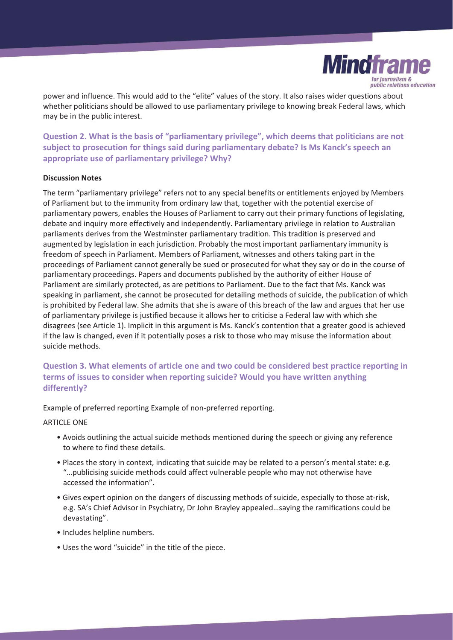

power and influence. This would add to the "elite" values of the story. It also raises wider questions about whether politicians should be allowed to use parliamentary privilege to knowing break Federal laws, which may be in the public interest.

**Question 2. What is the basis of "parliamentary privilege", which deems that politicians are not subject to prosecution for things said during parliamentary debate? Is Ms Kanck's speech an appropriate use of parliamentary privilege? Why?** 

#### **Discussion Notes**

The term "parliamentary privilege" refers not to any special benefits or entitlements enjoyed by Members of Parliament but to the immunity from ordinary law that, together with the potential exercise of parliamentary powers, enables the Houses of Parliament to carry out their primary functions of legislating, debate and inquiry more effectively and independently. Parliamentary privilege in relation to Australian parliaments derives from the Westminster parliamentary tradition. This tradition is preserved and augmented by legislation in each jurisdiction. Probably the most important parliamentary immunity is freedom of speech in Parliament. Members of Parliament, witnesses and others taking part in the proceedings of Parliament cannot generally be sued or prosecuted for what they say or do in the course of parliamentary proceedings. Papers and documents published by the authority of either House of Parliament are similarly protected, as are petitions to Parliament. Due to the fact that Ms. Kanck was speaking in parliament, she cannot be prosecuted for detailing methods of suicide, the publication of which is prohibited by Federal law. She admits that she is aware of this breach of the law and argues that her use of parliamentary privilege is justified because it allows her to criticise a Federal law with which she disagrees (see Article 1). Implicit in this argument is Ms. Kanck's contention that a greater good is achieved if the law is changed, even if it potentially poses a risk to those who may misuse the information about suicide methods.

**Question 3. What elements of article one and two could be considered best practice reporting in terms of issues to consider when reporting suicide? Would you have written anything differently?** 

Example of preferred reporting Example of non-preferred reporting.

#### ARTICLE ONE

- Avoids outlining the actual suicide methods mentioned during the speech or giving any reference to where to find these details.
- Places the story in context, indicating that suicide may be related to a person's mental state: e.g. "…publicising suicide methods could affect vulnerable people who may not otherwise have accessed the information".
- Gives expert opinion on the dangers of discussing methods of suicide, especially to those at-risk, e.g. SA's Chief Advisor in Psychiatry, Dr John Brayley appealed…saying the ramifications could be devastating".
- Includes helpline numbers.
- Uses the word "suicide" in the title of the piece.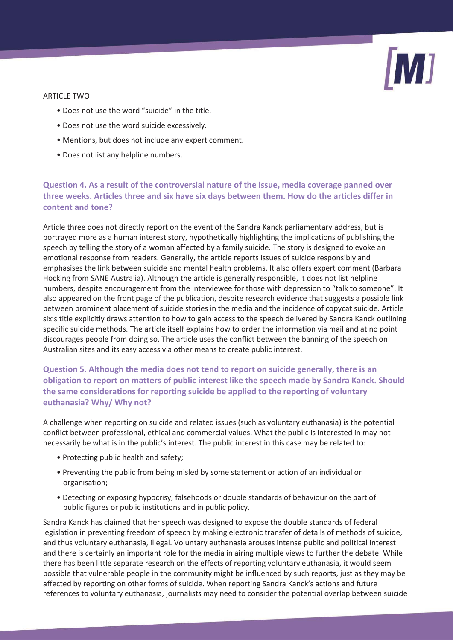

#### ARTICLE TWO

- Does not use the word "suicide" in the title.
- Does not use the word suicide excessively.
- Mentions, but does not include any expert comment.
- Does not list any helpline numbers.

## **Question 4. As a result of the controversial nature of the issue, media coverage panned over three weeks. Articles three and six have six days between them. How do the articles differ in content and tone?**

Article three does not directly report on the event of the Sandra Kanck parliamentary address, but is portrayed more as a human interest story, hypothetically highlighting the implications of publishing the speech by telling the story of a woman affected by a family suicide. The story is designed to evoke an emotional response from readers. Generally, the article reports issues of suicide responsibly and emphasises the link between suicide and mental health problems. It also offers expert comment (Barbara Hocking from SANE Australia). Although the article is generally responsible, it does not list helpline numbers, despite encouragement from the interviewee for those with depression to "talk to someone". It also appeared on the front page of the publication, despite research evidence that suggests a possible link between prominent placement of suicide stories in the media and the incidence of copycat suicide. Article six's title explicitly draws attention to how to gain access to the speech delivered by Sandra Kanck outlining specific suicide methods. The article itself explains how to order the information via mail and at no point discourages people from doing so. The article uses the conflict between the banning of the speech on Australian sites and its easy access via other means to create public interest.

## **Question 5. Although the media does not tend to report on suicide generally, there is an obligation to report on matters of public interest like the speech made by Sandra Kanck. Should the same considerations for reporting suicide be applied to the reporting of voluntary euthanasia? Why/ Why not?**

A challenge when reporting on suicide and related issues (such as voluntary euthanasia) is the potential conflict between professional, ethical and commercial values. What the public is interested in may not necessarily be what is in the public's interest. The public interest in this case may be related to:

- Protecting public health and safety;
- Preventing the public from being misled by some statement or action of an individual or organisation;
- Detecting or exposing hypocrisy, falsehoods or double standards of behaviour on the part of public figures or public institutions and in public policy.

Sandra Kanck has claimed that her speech was designed to expose the double standards of federal legislation in preventing freedom of speech by making electronic transfer of details of methods of suicide, and thus voluntary euthanasia, illegal. Voluntary euthanasia arouses intense public and political interest and there is certainly an important role for the media in airing multiple views to further the debate. While there has been little separate research on the effects of reporting voluntary euthanasia, it would seem possible that vulnerable people in the community might be influenced by such reports, just as they may be affected by reporting on other forms of suicide. When reporting Sandra Kanck's actions and future references to voluntary euthanasia, journalists may need to consider the potential overlap between suicide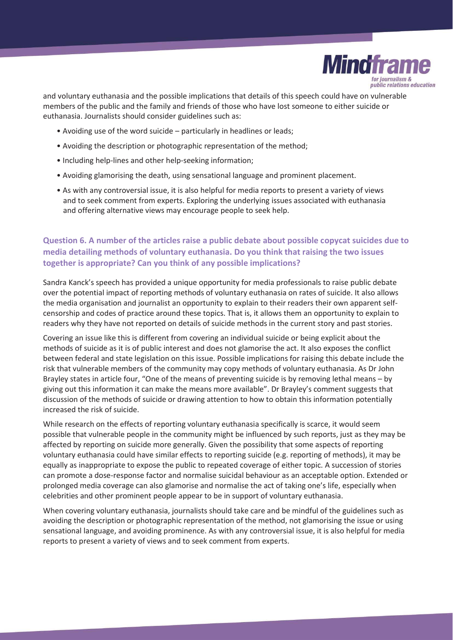

and voluntary euthanasia and the possible implications that details of this speech could have on vulnerable members of the public and the family and friends of those who have lost someone to either suicide or euthanasia. Journalists should consider guidelines such as:

- Avoiding use of the word suicide particularly in headlines or leads;
- Avoiding the description or photographic representation of the method;
- Including help-lines and other help-seeking information;
- Avoiding glamorising the death, using sensational language and prominent placement.
- As with any controversial issue, it is also helpful for media reports to present a variety of views and to seek comment from experts. Exploring the underlying issues associated with euthanasia and offering alternative views may encourage people to seek help.

# **Question 6. A number of the articles raise a public debate about possible copycat suicides due to media detailing methods of voluntary euthanasia. Do you think that raising the two issues together is appropriate? Can you think of any possible implications?**

Sandra Kanck's speech has provided a unique opportunity for media professionals to raise public debate over the potential impact of reporting methods of voluntary euthanasia on rates of suicide. It also allows the media organisation and journalist an opportunity to explain to their readers their own apparent selfcensorship and codes of practice around these topics. That is, it allows them an opportunity to explain to readers why they have not reported on details of suicide methods in the current story and past stories.

Covering an issue like this is different from covering an individual suicide or being explicit about the methods of suicide as it is of public interest and does not glamorise the act. It also exposes the conflict between federal and state legislation on this issue. Possible implications for raising this debate include the risk that vulnerable members of the community may copy methods of voluntary euthanasia. As Dr John Brayley states in article four, "One of the means of preventing suicide is by removing lethal means – by giving out this information it can make the means more available". Dr Brayley's comment suggests that discussion of the methods of suicide or drawing attention to how to obtain this information potentially increased the risk of suicide.

While research on the effects of reporting voluntary euthanasia specifically is scarce, it would seem possible that vulnerable people in the community might be influenced by such reports, just as they may be affected by reporting on suicide more generally. Given the possibility that some aspects of reporting voluntary euthanasia could have similar effects to reporting suicide (e.g. reporting of methods), it may be equally as inappropriate to expose the public to repeated coverage of either topic. A succession of stories can promote a dose-response factor and normalise suicidal behaviour as an acceptable option. Extended or prolonged media coverage can also glamorise and normalise the act of taking one's life, especially when celebrities and other prominent people appear to be in support of voluntary euthanasia.

When covering voluntary euthanasia, journalists should take care and be mindful of the guidelines such as avoiding the description or photographic representation of the method, not glamorising the issue or using sensational language, and avoiding prominence. As with any controversial issue, it is also helpful for media reports to present a variety of views and to seek comment from experts.